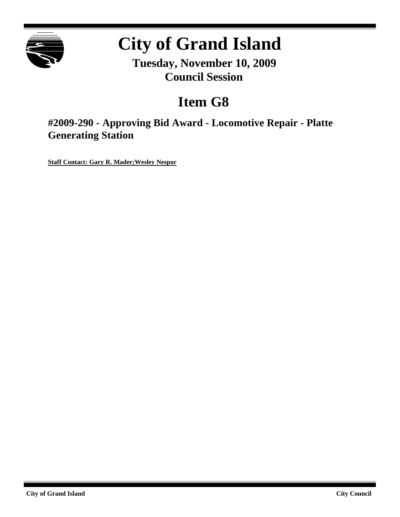

# **City of Grand Island**

**Tuesday, November 10, 2009 Council Session**

## **Item G8**

**#2009-290 - Approving Bid Award - Locomotive Repair - Platte Generating Station**

**Staff Contact: Gary R. Mader;Wesley Nespor**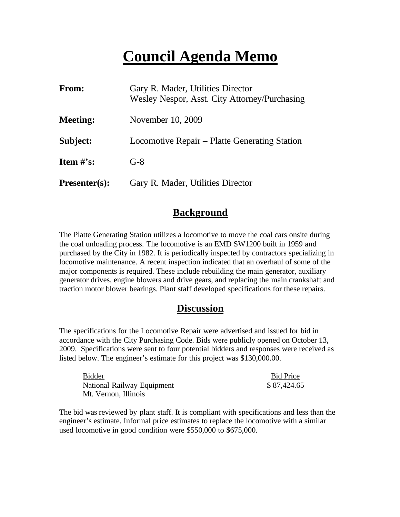## **Council Agenda Memo**

| <b>From:</b>                   | Gary R. Mader, Utilities Director<br>Wesley Nespor, Asst. City Attorney/Purchasing |
|--------------------------------|------------------------------------------------------------------------------------|
| <b>Meeting:</b>                | November 10, 2009                                                                  |
| Subject:                       | Locomotive Repair – Platte Generating Station                                      |
| <b>Item <math>\#</math>'s:</b> | $G-8$                                                                              |
| <b>Presenter(s):</b>           | Gary R. Mader, Utilities Director                                                  |

### **Background**

The Platte Generating Station utilizes a locomotive to move the coal cars onsite during the coal unloading process. The locomotive is an EMD SW1200 built in 1959 and purchased by the City in 1982. It is periodically inspected by contractors specializing in locomotive maintenance. A recent inspection indicated that an overhaul of some of the major components is required. These include rebuilding the main generator, auxiliary generator drives, engine blowers and drive gears, and replacing the main crankshaft and traction motor blower bearings. Plant staff developed specifications for these repairs.

### **Discussion**

The specifications for the Locomotive Repair were advertised and issued for bid in accordance with the City Purchasing Code. Bids were publicly opened on October 13, 2009. Specifications were sent to four potential bidders and responses were received as listed below. The engineer's estimate for this project was \$130,000.00.

| Bidder                     | <b>Bid Price</b> |
|----------------------------|------------------|
| National Railway Equipment | \$87,424.65      |
| Mt. Vernon, Illinois       |                  |

The bid was reviewed by plant staff. It is compliant with specifications and less than the engineer's estimate. Informal price estimates to replace the locomotive with a similar used locomotive in good condition were \$550,000 to \$675,000.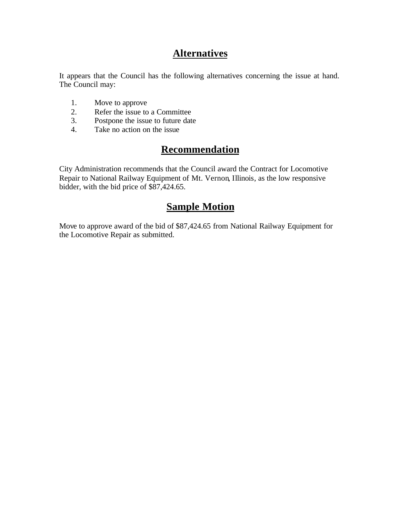## **Alternatives**

It appears that the Council has the following alternatives concerning the issue at hand. The Council may:

- 1. Move to approve
- 2. Refer the issue to a Committee<br>3. Postpone the issue to future date
- Postpone the issue to future date
- 4. Take no action on the issue

## **Recommendation**

City Administration recommends that the Council award the Contract for Locomotive Repair to National Railway Equipment of Mt. Vernon, Illinois, as the low responsive bidder, with the bid price of \$87,424.65.

## **Sample Motion**

Move to approve award of the bid of \$87,424.65 from National Railway Equipment for the Locomotive Repair as submitted.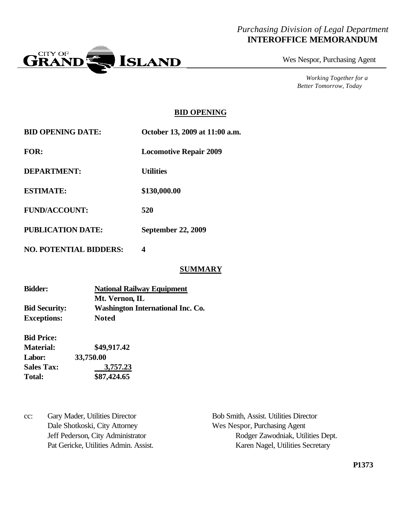#### *Purchasing Division of Legal Department* **INTEROFFICE MEMORANDUM**



Wes Nespor, Purchasing Agent

*Working Together for a Better Tomorrow, Today*

#### **BID OPENING**

| <b>BID OPENING DATE:</b> | October 13, 2009 at 11:00 a.m. |
|--------------------------|--------------------------------|
| <b>FOR:</b>              | <b>Locomotive Repair 2009</b>  |
| DEPARTMENT:              | <b>Utilities</b>               |
| <b>ESTIMATE:</b>         | \$130,000.00                   |
| <b>FUND/ACCOUNT:</b>     | 520                            |
| <b>PUBLICATION DATE:</b> | <b>September 22, 2009</b>      |

**NO. POTENTIAL BIDDERS: 4**

#### **SUMMARY**

| <b>Bidder:</b>       | <b>National Railway Equipment</b>        |  |
|----------------------|------------------------------------------|--|
|                      | Mt. Vernon, IL                           |  |
| <b>Bid Security:</b> | <b>Washington International Inc. Co.</b> |  |
| <b>Exceptions:</b>   | <b>Noted</b>                             |  |

| <b>Bid Price:</b> |             |
|-------------------|-------------|
| <b>Material:</b>  | \$49,917.42 |
| Labor:            | 33,750.00   |
| <b>Sales Tax:</b> | 3,757.23    |
| <b>Total:</b>     | \$87,424.65 |

cc: Gary Mader, Utilities Director Bob Smith, Assist. Utilities Director Dale Shotkoski, City Attorney Wes Nespor, Purchasing Agent

Jeff Pederson, City Administrator Rodger Zawodniak, Utilities Dept. Pat Gericke, Utilities Admin. Assist. Karen Nagel, Utilities Secretary